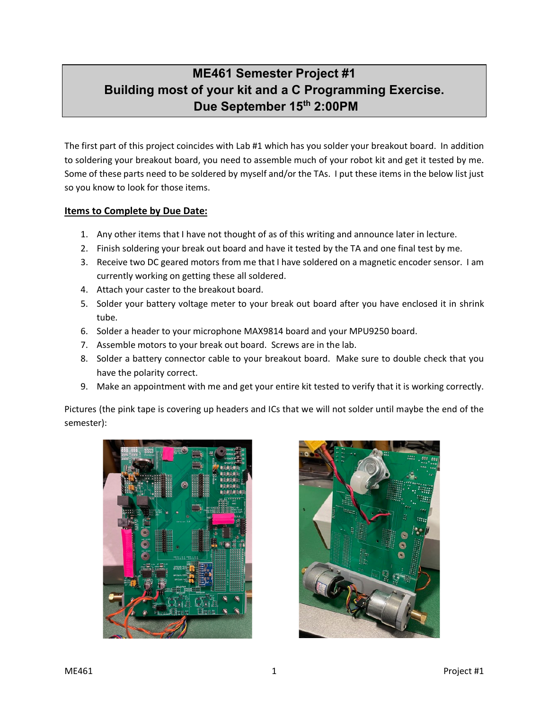## **ME461 Semester Project #1 Building most of your kit and a C Programming Exercise. Due September 15th 2:00PM**

The first part of this project coincides with Lab #1 which has you solder your breakout board. In addition to soldering your breakout board, you need to assemble much of your robot kit and get it tested by me. Some of these parts need to be soldered by myself and/or the TAs. I put these items in the below list just so you know to look for those items.

## **Items to Complete by Due Date:**

- 1. Any other items that I have not thought of as of this writing and announce later in lecture.
- 2. Finish soldering your break out board and have it tested by the TA and one final test by me.
- 3. Receive two DC geared motors from me that I have soldered on a magnetic encoder sensor. I am currently working on getting these all soldered.
- 4. Attach your caster to the breakout board.
- 5. Solder your battery voltage meter to your break out board after you have enclosed it in shrink tube.
- 6. Solder a header to your microphone MAX9814 board and your MPU9250 board.
- 7. Assemble motors to your break out board. Screws are in the lab.
- 8. Solder a battery connector cable to your breakout board. Make sure to double check that you have the polarity correct.
- 9. Make an appointment with me and get your entire kit tested to verify that it is working correctly.

Pictures (the pink tape is covering up headers and ICs that we will not solder until maybe the end of the semester):



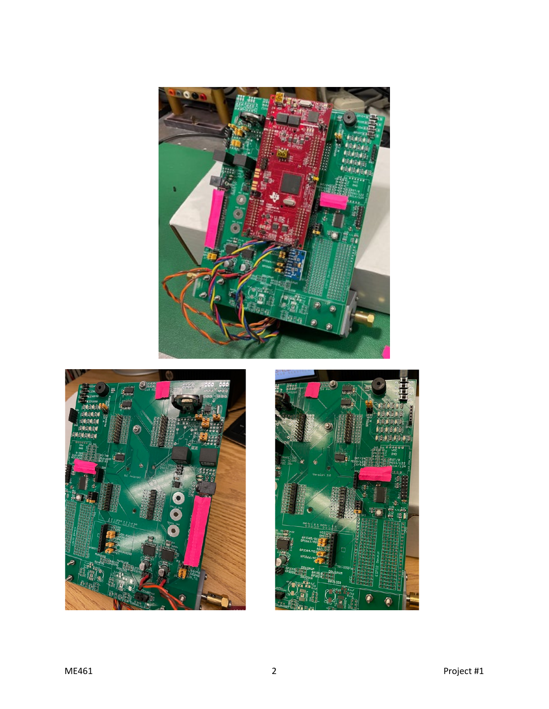



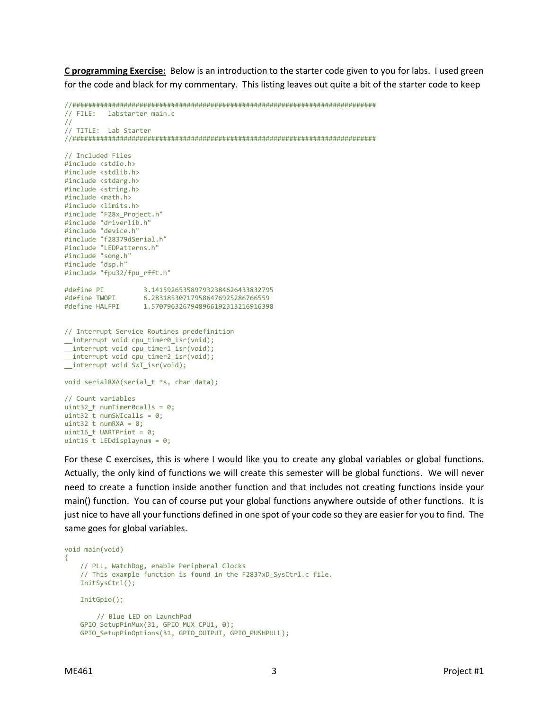**C programming Exercise:** Below is an introduction to the starter code given to you for labs. I used green for the code and black for my commentary. This listing leaves out quite a bit of the starter code to keep

```
//#############################################################################
// FILE: labstarter main.c
//
// TITLE: Lab Starter
//#############################################################################
// Included Files
#include <stdio.h>
#include <stdlib.h>
#include <stdarg.h>
#include <string.h>
#include <math.h>
#include <limits.h>
#include "F28x_Project.h"
#include "driverlib.h"
#include "device.h"
#include "f28379dSerial.h"
#include "LEDPatterns.h"
#include "song.h"
#include "dsp.h"
#include "fpu32/fpu_rfft.h"
#define PI 3.1415926535897932384626433832795
#define TWOPI 6.283185307179586476925286766559
                   1.5707963267948966192313216916398
// Interrupt Service Routines predefinition
__interrupt void cpu_timer0_isr(void);
__interrupt void cpu_timer1_isr(void);
__interrupt void cpu_timer2_isr(void);
interrupt void SWI isr(void);
void serialRXA(serial_t *s, char data);
// Count variables
uint32 t numTimer0calls = 0;uint32 t numSWIcalls = 0;
uint32_t numRXA = 0;
uint16 t UARTPrint = 0;
uint16_t LEDdisplaynum = 0;
```
For these C exercises, this is where I would like you to create any global variables or global functions. Actually, the only kind of functions we will create this semester will be global functions. We will never need to create a function inside another function and that includes not creating functions inside your main() function. You can of course put your global functions anywhere outside of other functions. It is just nice to have all your functions defined in one spot of your code so they are easier for you to find. The same goes for global variables.

```
void main(void)
{
     // PLL, WatchDog, enable Peripheral Clocks
   // This example function is found in the F2837xD SysCtrl.c file.
    InitSysCtrl();
    InitGpio();
        // Blue LED on LaunchPad
    GPIO_SetupPinMux(31, GPIO_MUX_CPU1, 0);
     GPIO_SetupPinOptions(31, GPIO_OUTPUT, GPIO_PUSHPULL);
```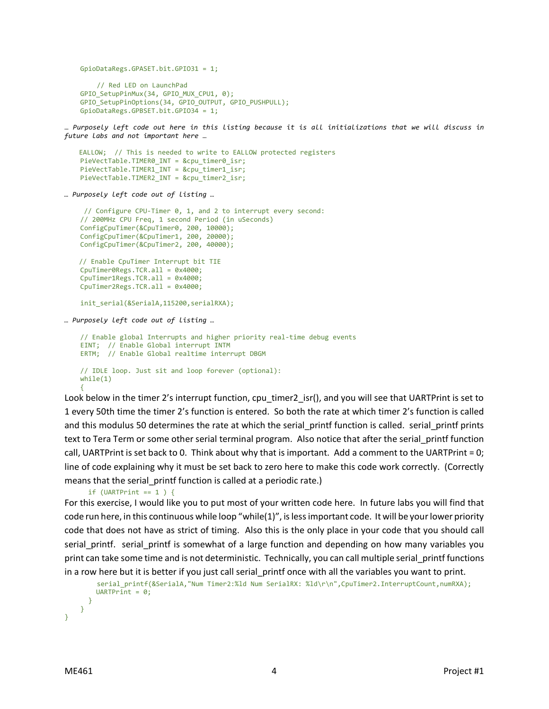```
 GpioDataRegs.GPASET.bit.GPIO31 = 1;
    // Red LED on LaunchPad
 GPIO_SetupPinMux(34, GPIO_MUX_CPU1, 0);
 GPIO_SetupPinOptions(34, GPIO_OUTPUT, GPIO_PUSHPULL);
 GpioDataRegs.GPBSET.bit.GPIO34 = 1;
```
… *Purposely left code out here in this listing because it is all initializations that we will discuss in future labs and not important here* …

```
 EALLOW; // This is needed to write to EALLOW protected registers
 PieVectTable.TIMER0_INT = &cpu_timer0_isr;
PieVectTable.TIMER1_INT = &cpu_timer1_isr;
PieVectTable.TIMER2_INT = &cpu_timer2_isr;
```
*… Purposely left code out of listing …*

```
 // Configure CPU-Timer 0, 1, and 2 to interrupt every second:
     // 200MHz CPU Freq, 1 second Period (in uSeconds)
    ConfigCpuTimer(&CpuTimer0, 200, 10000); 
 ConfigCpuTimer(&CpuTimer1, 200, 20000);
 ConfigCpuTimer(&CpuTimer2, 200, 40000);
    // Enable CpuTimer Interrupt bit TIE
    CpuTimer0Regs.TCR.all = 0x4000;
    CpuTimer1Regs.TCR.all = 0x4000;
    CpuTimer2Regs.TCR.all = 0x4000;
   init_serial(&SerialA,115200,serialRXA);
… Purposely left code out of listing …
```

```
 // Enable global Interrupts and higher priority real-time debug events
 EINT; // Enable Global interrupt INTM
 ERTM; // Enable Global realtime interrupt DBGM
 // IDLE loop. Just sit and loop forever (optional):
 while(1)
```
Look below in the timer 2's interrupt function, cpu\_timer2\_isr(), and you will see that UARTPrint is set to 1 every 50th time the timer 2's function is entered. So both the rate at which timer 2's function is called and this modulus 50 determines the rate at which the serial printf function is called. serial printf prints text to Tera Term or some other serial terminal program. Also notice that after the serial printf function call, UARTPrint is set back to 0. Think about why that is important. Add a comment to the UARTPrint = 0; line of code explaining why it must be set back to zero here to make this code work correctly. (Correctly means that the serial printf function is called at a periodic rate.)

if (UARTPrint  $== 1$  ) { For this exercise, I would like you to put most of your written code here. In future labs you will find that code run here, in this continuous while loop "while(1)", is lessimportant code. It will be your lower priority code that does not have as strict of timing. Also this is the only place in your code that you should call serial\_printf. serial\_printf is somewhat of a large function and depending on how many variables you print can take some time and is not deterministic. Technically, you can call multiple serial\_printf functions in a row here but it is better if you just call serial printf once with all the variables you want to print.

```
serial printf(&SerialA,"Num Timer2:%ld Num SerialRX: %ld\r\n",CpuTimer2.InterruptCount,numRXA);
   UARTPrint = 0;
  }
 }
```
}

{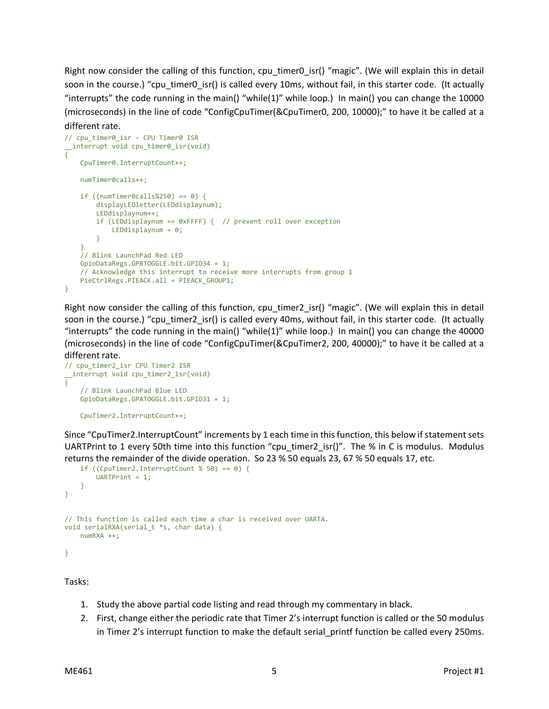Right now consider the calling of this function, cpu\_timer0\_isr() "magic". (We will explain this in detail soon in the course.) "cpu\_timer0\_isr() is called every 10ms, without fail, in this starter code. (It actually "interrupts" the code running in the main() "while(1)" while loop.) In main() you can change the 10000 (microseconds) in the line of code "ConfigCpuTimer(&CpuTimer0, 200, 10000);" to have it be called at a different rate.

```
// cpu_timer0_isr - CPU Timer0 ISR
 interrupt void cpu_timer0_isr(void)
{
     CpuTimer0.InterruptCount++;
     numTimer0calls++;
    if ((numTimer0calls%250) == 0) displayLEDletter(LEDdisplaynum);
         LEDdisplaynum++;
         if (LEDdisplaynum == 0xFFFF) { // prevent roll over exception
            LEDdisplaynum = 0;
         }
     }
     // Blink LaunchPad Red LED
    GpioDataRegs.GPBTOGGLE.bit.GPIO34 = 1;
     // Acknowledge this interrupt to receive more interrupts from group 1
    PieCtrlRegs.PIEACK.all = PIEACK_GROUP1;
}
```
Right now consider the calling of this function, cpu\_timer2\_isr() "magic". (We will explain this in detail soon in the course.) "cpu\_timer2\_isr() is called every 40ms, without fail, in this starter code. (It actually "interrupts" the code running in the main() "while(1)" while loop.) In main() you can change the 40000 (microseconds) in the line of code "ConfigCpuTimer(&CpuTimer2, 200, 40000);" to have it be called at a different rate.

```
// cpu_timer2_isr CPU Timer2 ISR
__interrupt void cpu_timer2_isr(void)
{
    // Blink LaunchPad Blue LED
    GpioDataRegs.GPATOGGLE.bit.GPIO31 = 1;
    CpuTimer2.InterruptCount++;
```
Since "CpuTimer2.InterruptCount" increments by 1 each time in this function, this below if statement sets UARTPrint to 1 every 50th time into this function "cpu\_timer2\_isr()". The % in C is modulus. Modulus returns the remainder of the divide operation. So 23 % 50 equals 23, 67 % 50 equals 17, etc.

```
if ((CpuTimer2-InterruptCount % 50) == 0) UARTPrint = 1;
     }
}
// This function is called each time a char is received over UARTA.
void serialRXA(serial_t *s, char data) {
    numRXA ++;
}
```
Tasks:

- 1. Study the above partial code listing and read through my commentary in black.
- 2. First, change either the periodic rate that Timer 2's interrupt function is called or the 50 modulus in Timer 2's interrupt function to make the default serial\_printf function be called every 250ms.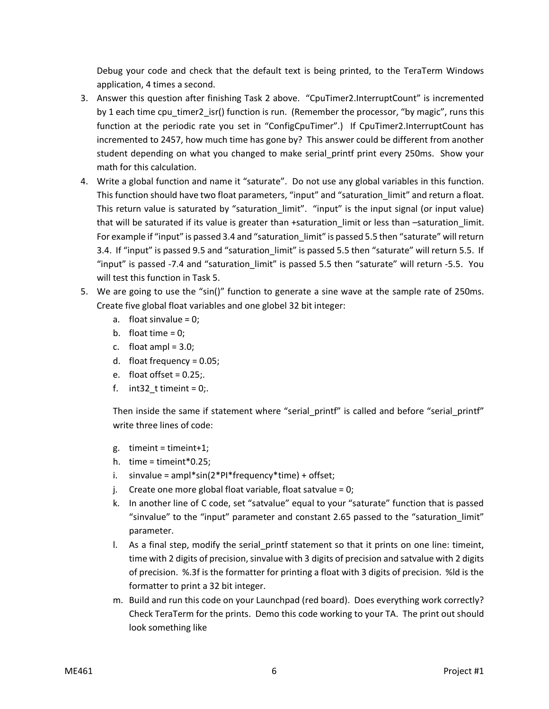Debug your code and check that the default text is being printed, to the TeraTerm Windows application, 4 times a second.

- 3. Answer this question after finishing Task 2 above. "CpuTimer2.InterruptCount" is incremented by 1 each time cpu\_timer2\_isr() function is run. (Remember the processor, "by magic", runs this function at the periodic rate you set in "ConfigCpuTimer".) If CpuTimer2.InterruptCount has incremented to 2457, how much time has gone by? This answer could be different from another student depending on what you changed to make serial printf print every 250ms. Show your math for this calculation.
- 4. Write a global function and name it "saturate". Do not use any global variables in this function. This function should have two float parameters, "input" and "saturation\_limit" and return a float. This return value is saturated by "saturation\_limit". "input" is the input signal (or input value) that will be saturated if its value is greater than +saturation limit or less than –saturation limit. For example if "input" is passed 3.4 and "saturation\_limit" is passed 5.5 then "saturate" will return 3.4. If "input" is passed 9.5 and "saturation\_limit" is passed 5.5 then "saturate" will return 5.5. If "input" is passed -7.4 and "saturation\_limit" is passed 5.5 then "saturate" will return -5.5. You will test this function in Task 5.
- 5. We are going to use the "sin()" function to generate a sine wave at the sample rate of 250ms. Create five global float variables and one globel 32 bit integer:
	- a. float sinvalue =  $0$ ;
	- b. float time  $= 0$ :
	- c. float ampl  $= 3.0$ ;
	- d. float frequency = 0.05;
	- e. float offset =  $0.25$ ;
	- f.  $int32$  t timeint = 0;.

Then inside the same if statement where "serial\_printf" is called and before "serial\_printf" write three lines of code:

- g.  $timeint = timeint + 1;$
- h. time = timeint\*0.25;
- i.  $sinvalue = amp|*sin(2*PI*frequency*time) + offset;$
- j. Create one more global float variable, float satvalue =  $0$ ;
- k. In another line of C code, set "satvalue" equal to your "saturate" function that is passed "sinvalue" to the "input" parameter and constant 2.65 passed to the "saturation\_limit" parameter.
- l. As a final step, modify the serial\_printf statement so that it prints on one line: timeint, time with 2 digits of precision, sinvalue with 3 digits of precision and satvalue with 2 digits of precision. %.3f is the formatter for printing a float with 3 digits of precision. %ld is the formatter to print a 32 bit integer.
- m. Build and run this code on your Launchpad (red board). Does everything work correctly? Check TeraTerm for the prints. Demo this code working to your TA. The print out should look something like